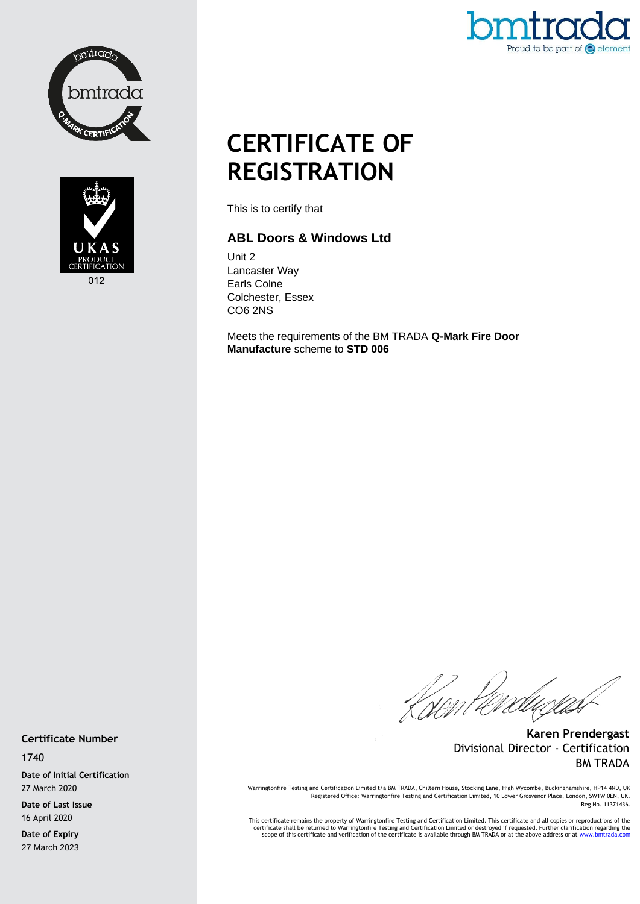



Proud to be part of  $\bigodot$  element

# **CERTIFICATE OF REGISTRATION**

This is to certify that

#### **ABL Doors & Windows Ltd**

Unit 2 Lancaster Way Earls Colne Colchester, Essex CO6 2NS

Meets the requirements of the BM TRADA **Q-Mark Fire Door Manufacture** scheme to **STD 006**

Kisent éreducias

**Karen Prendergast** Divisional Director - Certification BM TRADA

Warringtonfire Testing and Certification Limited t/a BM TRADA, Chiltern House, Stocking Lane, High Wycombe, Buckinghamshire, HP14 4ND, UK<br>Registered Office: Warringtonfire Testing and Certification Limited, 10 Lower Grosve Reg No. 11371436.

This certificate remains the property of Warringtonfire Testing and Certification Limited. This certificate and all copies or reproductions of the<br>Certificate shall be returned to Warringtonfire Testing and Certification L

**Certificate Number**

1740

**Date of Initial Certification** 27 March 2020

**Date of Last Issue** 16 April 2020

**Date of Expiry** 27 March 2023